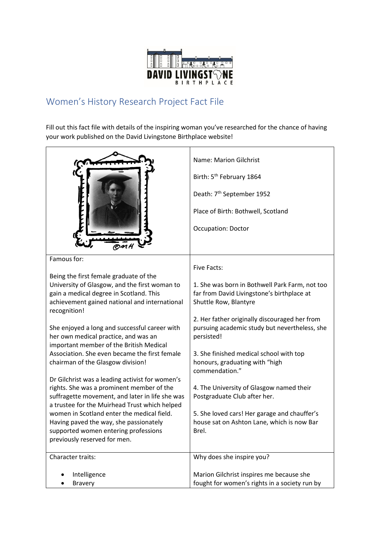

## Women's History Research Project Fact File

Fill out this fact file with details of the inspiring woman you've researched for the chance of having your work published on the David Livingstone Birthplace website!

|                                                                                                                                                                                                                                                                                                                                                                  | Name: Marion Gilchrist<br>Birth: 5 <sup>th</sup> February 1864<br>Death: 7 <sup>th</sup> September 1952<br>Place of Birth: Bothwell, Scotland<br><b>Occupation: Doctor</b>                                  |
|------------------------------------------------------------------------------------------------------------------------------------------------------------------------------------------------------------------------------------------------------------------------------------------------------------------------------------------------------------------|-------------------------------------------------------------------------------------------------------------------------------------------------------------------------------------------------------------|
| Famous for:<br>Being the first female graduate of the<br>University of Glasgow, and the first woman to<br>gain a medical degree in Scotland. This<br>achievement gained national and international<br>recognition!                                                                                                                                               | <b>Five Facts:</b><br>1. She was born in Bothwell Park Farm, not too<br>far from David Livingstone's birthplace at<br>Shuttle Row, Blantyre                                                                 |
| She enjoyed a long and successful career with<br>her own medical practice, and was an<br>important member of the British Medical<br>Association. She even became the first female<br>chairman of the Glasgow division!                                                                                                                                           | 2. Her father originally discouraged her from<br>pursuing academic study but nevertheless, she<br>persisted!<br>3. She finished medical school with top<br>honours, graduating with "high<br>commendation." |
| Dr Gilchrist was a leading activist for women's<br>rights. She was a prominent member of the<br>suffragette movement, and later in life she was<br>a trustee for the Muirhead Trust which helped<br>women in Scotland enter the medical field.<br>Having paved the way, she passionately<br>supported women entering professions<br>previously reserved for men. | 4. The University of Glasgow named their<br>Postgraduate Club after her.<br>5. She loved cars! Her garage and chauffer's<br>house sat on Ashton Lane, which is now Bar<br>Brel.                             |
| Character traits:<br>Intelligence                                                                                                                                                                                                                                                                                                                                | Why does she inspire you?<br>Marion Gilchrist inspires me because she                                                                                                                                       |
| <b>Bravery</b>                                                                                                                                                                                                                                                                                                                                                   | fought for women's rights in a society run by                                                                                                                                                               |